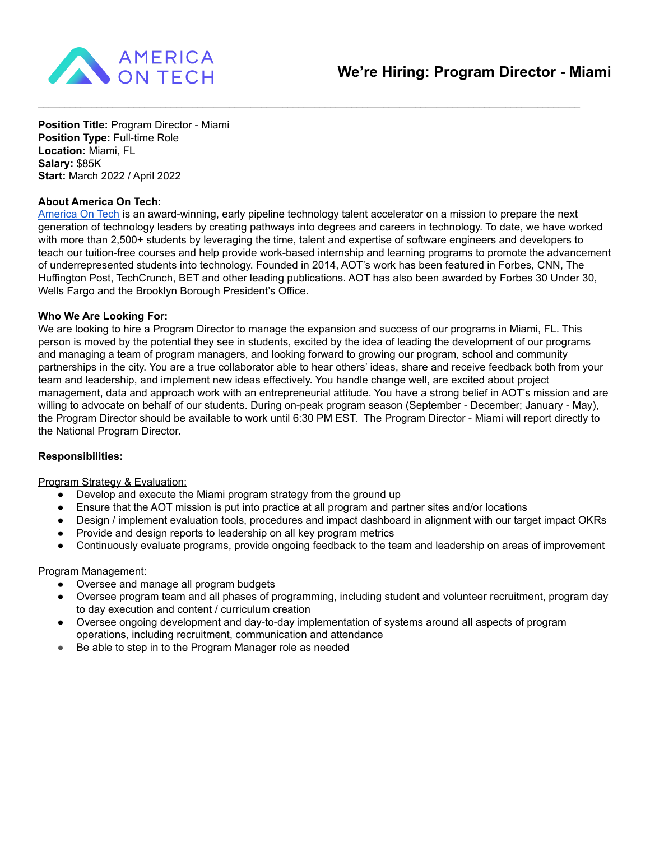

**Position Title:** Program Director - Miami **Position Type:** Full-time Role **Location:** Miami, FL **Salary:** \$85K **Start:** March 2022 / April 2022

## **About America On Tech:**

[America](https://www.americaontech.org/) On Tech is an award-winning, early pipeline technology talent accelerator on a mission to prepare the next generation of technology leaders by creating pathways into degrees and careers in technology. To date, we have worked with more than 2,500+ students by leveraging the time, talent and expertise of software engineers and developers to teach our tuition-free courses and help provide work-based internship and learning programs to promote the advancement of underrepresented students into technology. Founded in 2014, AOT's work has been featured in Forbes, CNN, The Huffington Post, TechCrunch, BET and other leading publications. AOT has also been awarded by Forbes 30 Under 30, Wells Fargo and the Brooklyn Borough President's Office.

 $\mathcal{L}_\mathcal{L} = \{ \mathcal{L}_\mathcal{L} = \{ \mathcal{L}_\mathcal{L} = \{ \mathcal{L}_\mathcal{L} = \{ \mathcal{L}_\mathcal{L} = \{ \mathcal{L}_\mathcal{L} = \{ \mathcal{L}_\mathcal{L} = \{ \mathcal{L}_\mathcal{L} = \{ \mathcal{L}_\mathcal{L} = \{ \mathcal{L}_\mathcal{L} = \{ \mathcal{L}_\mathcal{L} = \{ \mathcal{L}_\mathcal{L} = \{ \mathcal{L}_\mathcal{L} = \{ \mathcal{L}_\mathcal{L} = \{ \mathcal{L}_\mathcal{$ 

## **Who We Are Looking For:**

We are looking to hire a Program Director to manage the expansion and success of our programs in Miami, FL. This person is moved by the potential they see in students, excited by the idea of leading the development of our programs and managing a team of program managers, and looking forward to growing our program, school and community partnerships in the city. You are a true collaborator able to hear others' ideas, share and receive feedback both from your team and leadership, and implement new ideas effectively. You handle change well, are excited about project management, data and approach work with an entrepreneurial attitude. You have a strong belief in AOT's mission and are willing to advocate on behalf of our students. During on-peak program season (September - December; January - May), the Program Director should be available to work until 6:30 PM EST. The Program Director - Miami will report directly to the National Program Director.

## **Responsibilities:**

## Program Strategy & Evaluation:

- Develop and execute the Miami program strategy from the ground up
- Ensure that the AOT mission is put into practice at all program and partner sites and/or locations
- Design / implement evaluation tools, procedures and impact dashboard in alignment with our target impact OKRs
- Provide and design reports to leadership on all key program metrics
- Continuously evaluate programs, provide ongoing feedback to the team and leadership on areas of improvement

## Program Management:

- Oversee and manage all program budgets
- Oversee program team and all phases of programming, including student and volunteer recruitment, program day to day execution and content / curriculum creation
- Oversee ongoing development and day-to-day implementation of systems around all aspects of program operations, including recruitment, communication and attendance
- Be able to step in to the Program Manager role as needed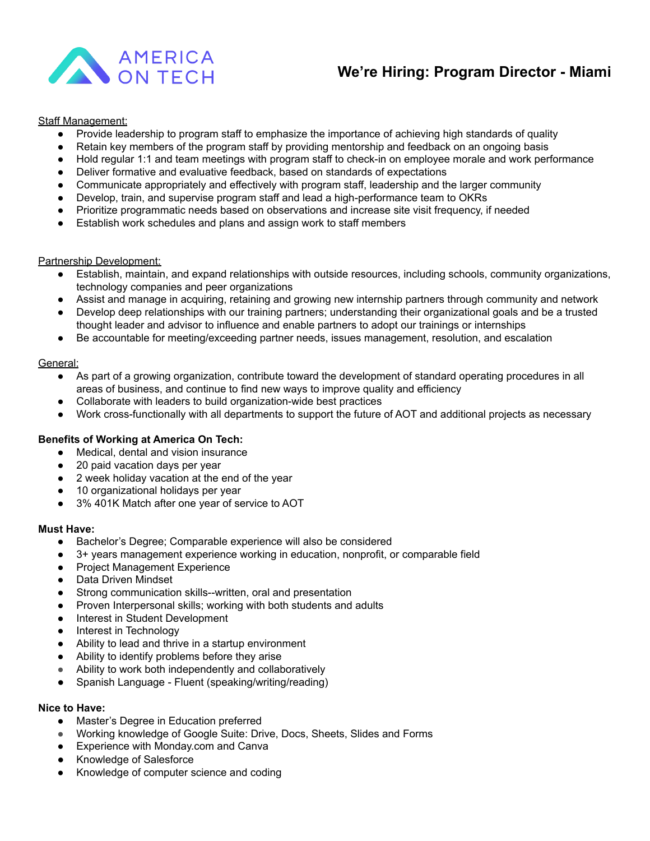

## **We're Hiring: Program Director - Miami**

## **Staff Management:**

- Provide leadership to program staff to emphasize the importance of achieving high standards of quality
- Retain key members of the program staff by providing mentorship and feedback on an ongoing basis
- Hold regular 1:1 and team meetings with program staff to check-in on employee morale and work performance
- Deliver formative and evaluative feedback, based on standards of expectations
- Communicate appropriately and effectively with program staff, leadership and the larger community
- Develop, train, and supervise program staff and lead a high-performance team to OKRs
- Prioritize programmatic needs based on observations and increase site visit frequency, if needed
- Establish work schedules and plans and assign work to staff members

#### Partnership Development:

- Establish, maintain, and expand relationships with outside resources, including schools, community organizations, technology companies and peer organizations
- Assist and manage in acquiring, retaining and growing new internship partners through community and network
- Develop deep relationships with our training partners; understanding their organizational goals and be a trusted thought leader and advisor to influence and enable partners to adopt our trainings or internships
- Be accountable for meeting/exceeding partner needs, issues management, resolution, and escalation

#### General:

- As part of a growing organization, contribute toward the development of standard operating procedures in all areas of business, and continue to find new ways to improve quality and efficiency
- Collaborate with leaders to build organization-wide best practices
- Work cross-functionally with all departments to support the future of AOT and additional projects as necessary

#### **Benefits of Working at America On Tech:**

- Medical, dental and vision insurance
- 20 paid vacation days per year
- 2 week holiday vacation at the end of the year
- 10 organizational holidays per year
- 3% 401K Match after one year of service to AOT

## **Must Have:**

- Bachelor's Degree; Comparable experience will also be considered
- 3+ years management experience working in education, nonprofit, or comparable field
- Project Management Experience
- Data Driven Mindset
- Strong communication skills--written, oral and presentation
- Proven Interpersonal skills; working with both students and adults
- **Interest in Student Development**
- Interest in Technology
- Ability to lead and thrive in a startup environment
- Ability to identify problems before they arise
- Ability to work both independently and collaboratively
- Spanish Language Fluent (speaking/writing/reading)

#### **Nice to Have:**

- Master's Degree in Education preferred
- Working knowledge of Google Suite: Drive, Docs, Sheets, Slides and Forms
- Experience with Monday.com and Canva
- Knowledge of Salesforce
- Knowledge of computer science and coding